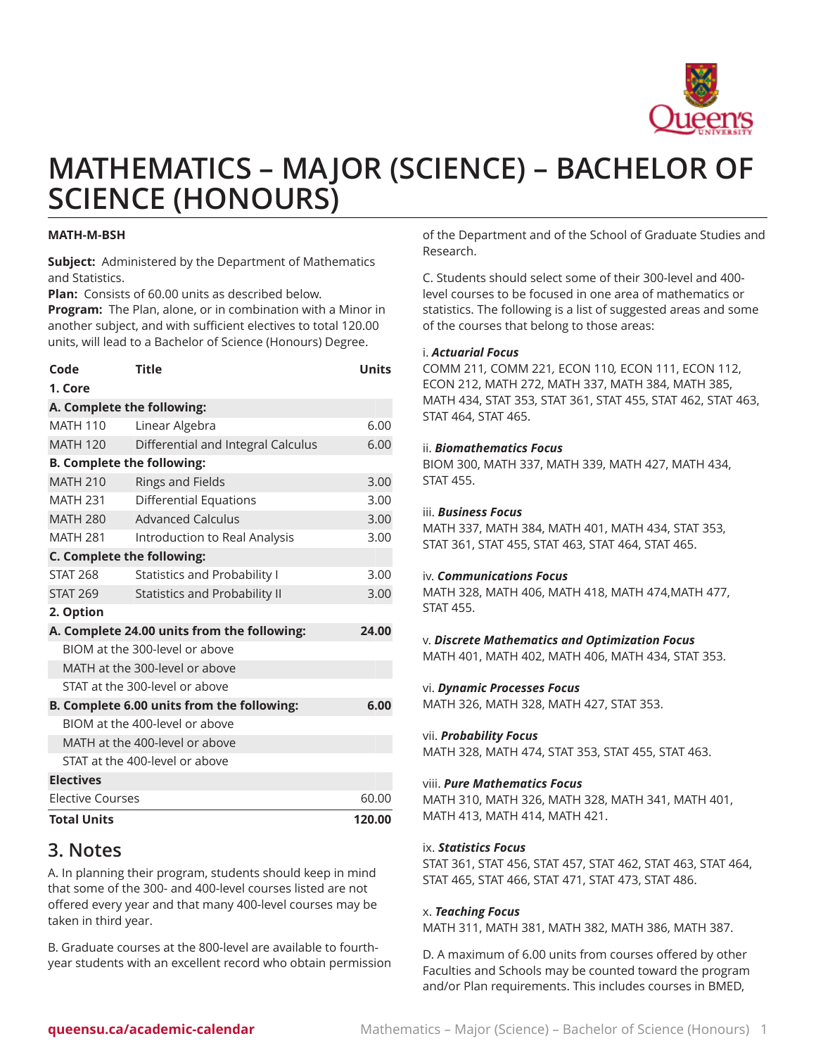

# **MATHEMATICS – MAJOR (SCIENCE) – BACHELOR OF SCIENCE (HONOURS)**

## **MATH-M-BSH**

**Subject:** Administered by the Department of Mathematics and Statistics.

**Plan:** Consists of 60.00 units as described below.

**Program:** The Plan, alone, or in combination with a Minor in another subject, and with sufficient electives to total 120.00 units, will lead to a Bachelor of Science (Honours) Degree.

| Code                                               | <b>Title</b>                        | <b>Units</b> |
|----------------------------------------------------|-------------------------------------|--------------|
| 1. Core                                            |                                     |              |
| A. Complete the following:                         |                                     |              |
| <b>MATH 110</b>                                    | Linear Algebra                      | 6.00         |
| <b>MATH 120</b>                                    | Differential and Integral Calculus  | 6.00         |
| <b>B. Complete the following:</b>                  |                                     |              |
| <b>MATH 210</b>                                    | <b>Rings and Fields</b>             | 3.00         |
| <b>MATH 231</b>                                    | Differential Equations              | 3.00         |
| <b>MATH 280</b>                                    | <b>Advanced Calculus</b>            | 3.00         |
| <b>MATH 281</b>                                    | Introduction to Real Analysis       | 3.00         |
| C. Complete the following:                         |                                     |              |
| <b>STAT 268</b>                                    | <b>Statistics and Probability I</b> | 3.00         |
| <b>STAT 269</b>                                    | Statistics and Probability II       | 3.00         |
| 2. Option                                          |                                     |              |
| A. Complete 24.00 units from the following:        |                                     | 24.00        |
| BIOM at the 300-level or above                     |                                     |              |
| MATH at the 300-level or above                     |                                     |              |
| STAT at the 300-level or above                     |                                     |              |
| B. Complete 6.00 units from the following:<br>6.00 |                                     |              |
| BIOM at the 400-level or above                     |                                     |              |
| MATH at the 400-level or above                     |                                     |              |
| STAT at the 400-level or above                     |                                     |              |
| <b>Electives</b>                                   |                                     |              |
| <b>Elective Courses</b>                            |                                     | 60.00        |
| <b>Total Units</b>                                 |                                     | 120.00       |

# **3. Notes**

A. In planning their program, students should keep in mind that some of the 300- and 400-level courses listed are not offered every year and that many 400-level courses may be taken in third year.

B. Graduate courses at the 800-level are available to fourthyear students with an excellent record who obtain permission of the Department and of the School of Graduate Studies and Research.

C. Students should select some of their 300-level and 400 level courses to be focused in one area of mathematics or statistics. The following is a list of suggested areas and some of the courses that belong to those areas:

# i. *Actuarial Focus*

COMM 211*,* [COMM](/search/?P=COMM%20221) 221*,* [ECON](/search/?P=ECON%20110) 110*,* ECON 111, ECON 112, ECON 212, MATH 272, MATH 337, MATH 384, MATH 385, MATH 434, STAT 353, STAT 361, STAT 455, STAT 462, STAT 463, STAT 464, STAT 465.

## ii. *Biomathematics Focus*

BIOM 300, MATH 337, MATH 339, MATH 427, MATH 434, STAT 455.

## iii. *Business Focus*

MATH 337, MATH 384, MATH 401, MATH 434, STAT 353, STAT 361, STAT 455, STAT 463, STAT 464, STAT 465.

#### iv. *Communications Focus*

MATH 328, MATH 406, MATH 418, MATH 474,MATH 477, STAT 455.

# v. *Discrete Mathematics and Optimization Focus*

MATH 401, MATH 402, MATH 406, MATH 434, STAT 353.

# vi. *Dynamic Processes Focus*

MATH 326, MATH 328, MATH 427, STAT 353.

#### vii. *Probability Focus*

MATH 328, MATH 474, STAT 353, STAT 455, STAT 463.

# viii. *Pure Mathematics Focus*

MATH 310, MATH 326, MATH 328, MATH 341, MATH 401, MATH 413, MATH 414, MATH 421.

# ix. *Statistics Focus*

STAT 361, STAT 456, STAT 457, STAT 462, STAT 463, STAT 464, STAT 465, STAT 466, STAT 471, STAT 473, STAT 486.

# x. *Teaching Focus*

MATH 311, MATH 381, MATH 382, MATH 386, MATH 387.

D. A maximum of 6.00 units from courses offered by other Faculties and Schools may be counted toward the program and/or Plan requirements. This includes courses in BMED,